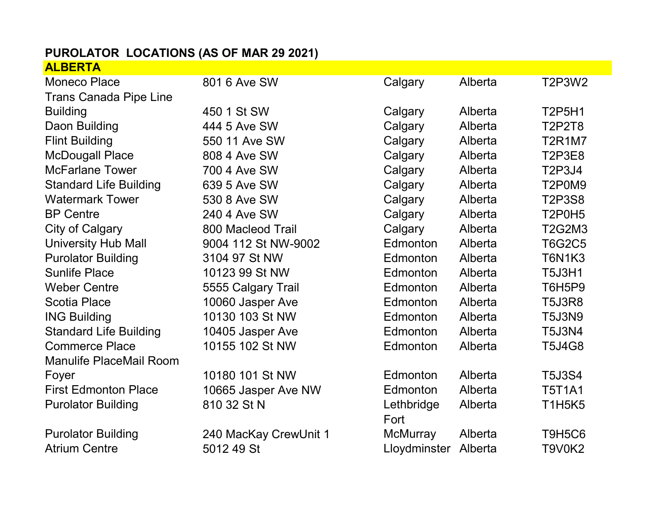## PUROLATOR LOCATIONS (AS OF MAR 29 2021) ALBERTA

| <b>Moneco Place</b>            | 801 6 Ave SW          | Calgary         | Alberta | <b>T2P3W2</b>                                |
|--------------------------------|-----------------------|-----------------|---------|----------------------------------------------|
| <b>Trans Canada Pipe Line</b>  |                       |                 |         |                                              |
| <b>Building</b>                | 450 1 St SW           | Calgary         | Alberta | <b>T2P5H1</b>                                |
| Daon Building                  | 444 5 Ave SW          | Calgary         | Alberta | <b>T2P2T8</b>                                |
| <b>Flint Building</b>          | 550 11 Ave SW         | Calgary         | Alberta | <b>T2R1M7</b>                                |
| <b>McDougall Place</b>         | 808 4 Ave SW          | Calgary         | Alberta | <b>T2P3E8</b>                                |
| <b>McFarlane Tower</b>         | 700 4 Ave SW          | Calgary         | Alberta | T2P3J4                                       |
| <b>Standard Life Building</b>  | 639 5 Ave SW          | Calgary         | Alberta | T2P0M9                                       |
| <b>Watermark Tower</b>         | 530 8 Ave SW          | Calgary         | Alberta | <b>T2P3S8</b>                                |
| <b>BP Centre</b>               | 240 4 Ave SW          | Calgary         | Alberta | T <sub>2</sub> P <sub>0</sub> H <sub>5</sub> |
| City of Calgary                | 800 Macleod Trail     | Calgary         | Alberta | T2G2M3                                       |
| <b>University Hub Mall</b>     | 9004 112 St NW-9002   | Edmonton        | Alberta | <b>T6G2C5</b>                                |
| <b>Purolator Building</b>      | 3104 97 St NW         | Edmonton        | Alberta | <b>T6N1K3</b>                                |
| <b>Sunlife Place</b>           | 10123 99 St NW        | Edmonton        | Alberta | <b>T5J3H1</b>                                |
| <b>Weber Centre</b>            | 5555 Calgary Trail    | Edmonton        | Alberta | T6H5P9                                       |
| <b>Scotia Place</b>            | 10060 Jasper Ave      | Edmonton        | Alberta | <b>T5J3R8</b>                                |
| <b>ING Building</b>            | 10130 103 St NW       | Edmonton        | Alberta | <b>T5J3N9</b>                                |
| <b>Standard Life Building</b>  | 10405 Jasper Ave      | Edmonton        | Alberta | <b>T5J3N4</b>                                |
| <b>Commerce Place</b>          | 10155 102 St NW       | <b>Edmonton</b> | Alberta | <b>T5J4G8</b>                                |
| <b>Manulife PlaceMail Room</b> |                       |                 |         |                                              |
| Foyer                          | 10180 101 St NW       | Edmonton        | Alberta | <b>T5J3S4</b>                                |
| <b>First Edmonton Place</b>    | 10665 Jasper Ave NW   | Edmonton        | Alberta | <b>T5T1A1</b>                                |
| <b>Purolator Building</b>      | 810 32 St N           | Lethbridge      | Alberta | <b>T1H5K5</b>                                |
|                                |                       | Fort            |         |                                              |
| <b>Purolator Building</b>      | 240 MacKay CrewUnit 1 | McMurray        | Alberta | <b>T9H5C6</b>                                |
| <b>Atrium Centre</b>           | 5012 49 St            | Lloydminster    | Alberta | <b>T9V0K2</b>                                |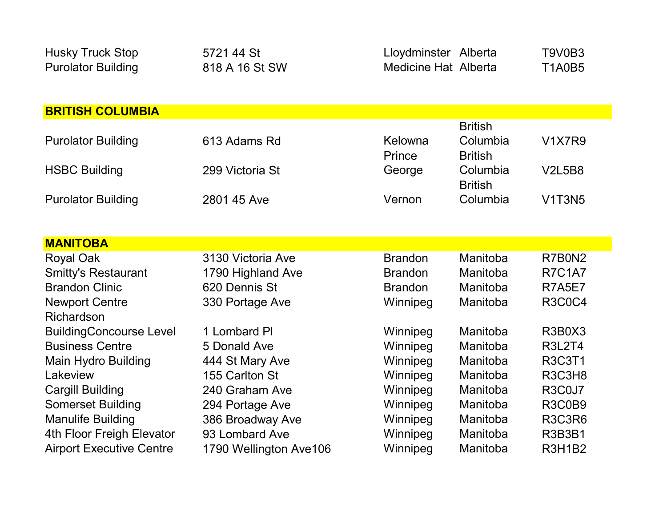| <b>Husky Truck Stop</b><br><b>Purolator Building</b> | 5721 44 St<br>818 A 16 St SW | Lloydminster Alberta<br><b>Medicine Hat Alberta</b> |                                              | T9V0B3<br><b>T1A0B5</b> |
|------------------------------------------------------|------------------------------|-----------------------------------------------------|----------------------------------------------|-------------------------|
|                                                      |                              |                                                     |                                              |                         |
| <b>BRITISH COLUMBIA</b>                              |                              |                                                     |                                              |                         |
| <b>Purolator Building</b>                            | 613 Adams Rd                 | Kelowna<br>Prince                                   | <b>British</b><br>Columbia<br><b>British</b> | <b>V1X7R9</b>           |
| <b>HSBC Building</b>                                 | 299 Victoria St              | George                                              | Columbia<br><b>British</b>                   | <b>V2L5B8</b>           |
| <b>Purolator Building</b>                            | 2801 45 Ave                  | Vernon                                              | Columbia                                     | <b>V1T3N5</b>           |
|                                                      |                              |                                                     |                                              |                         |
| <b>MANITOBA</b>                                      |                              |                                                     |                                              |                         |
| <b>Royal Oak</b>                                     | 3130 Victoria Ave            | <b>Brandon</b>                                      | Manitoba                                     | R7B0N2                  |
| <b>Smitty's Restaurant</b>                           | 1790 Highland Ave            | <b>Brandon</b>                                      | Manitoba                                     | <b>R7C1A7</b>           |
| <b>Brandon Clinic</b>                                | 620 Dennis St                | <b>Brandon</b>                                      | Manitoba                                     | <b>R7A5E7</b>           |
| <b>Newport Centre</b><br>Richardson                  | 330 Portage Ave              | Winnipeg                                            | Manitoba                                     | <b>R3C0C4</b>           |
| <b>BuildingConcourse Level</b>                       | 1 Lombard PI                 | Winnipeg                                            | Manitoba                                     | R3B0X3                  |
| <b>Business Centre</b>                               | 5 Donald Ave                 | Winnipeg                                            | Manitoba                                     | <b>R3L2T4</b>           |
| <b>Main Hydro Building</b>                           | 444 St Mary Ave              | Winnipeg                                            | Manitoba                                     | <b>R3C3T1</b>           |
| Lakeview                                             | 155 Carlton St               | Winnipeg                                            | Manitoba                                     | R3C3H8                  |
| <b>Cargill Building</b>                              | 240 Graham Ave               | Winnipeg                                            | Manitoba                                     | R3C0J7                  |
| <b>Somerset Building</b>                             | 294 Portage Ave              | Winnipeg                                            | Manitoba                                     | <b>R3C0B9</b>           |
| <b>Manulife Building</b>                             | 386 Broadway Ave             | Winnipeg                                            | Manitoba                                     | <b>R3C3R6</b>           |
| 4th Floor Freigh Elevator                            | 93 Lombard Ave               | Winnipeg                                            | Manitoba                                     | <b>R3B3B1</b>           |
| <b>Airport Executive Centre</b>                      | 1790 Wellington Ave106       | Winnipeg                                            | Manitoba                                     | <b>R3H1B2</b>           |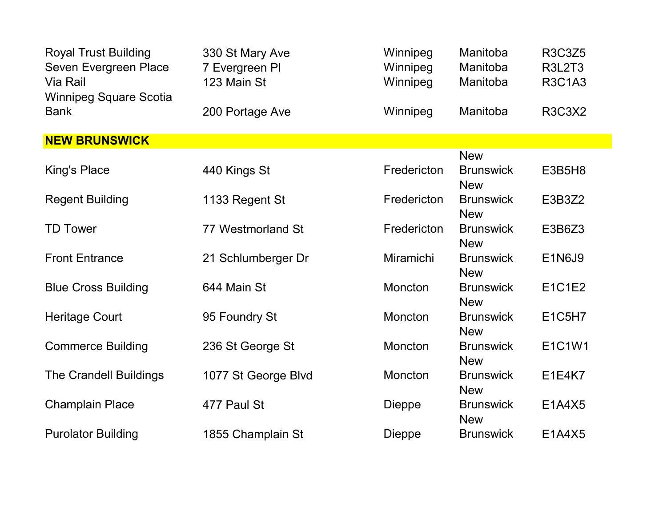| <b>Royal Trust Building</b><br>Seven Evergreen Place<br>Via Rail<br><b>Winnipeg Square Scotia</b> | 330 St Mary Ave<br>7 Evergreen PI<br>123 Main St | Winnipeg<br>Winnipeg<br>Winnipeg | Manitoba<br>Manitoba<br>Manitoba | <b>R3C3Z5</b><br><b>R3L2T3</b><br><b>R3C1A3</b> |
|---------------------------------------------------------------------------------------------------|--------------------------------------------------|----------------------------------|----------------------------------|-------------------------------------------------|
| <b>Bank</b>                                                                                       | 200 Portage Ave                                  | Winnipeg                         | Manitoba                         | <b>R3C3X2</b>                                   |
| <b>NEW BRUNSWICK</b>                                                                              |                                                  |                                  |                                  |                                                 |
|                                                                                                   |                                                  |                                  | <b>New</b>                       |                                                 |
| <b>King's Place</b>                                                                               | 440 Kings St                                     | Fredericton                      | <b>Brunswick</b><br><b>New</b>   | <b>E3B5H8</b>                                   |
| <b>Regent Building</b>                                                                            | 1133 Regent St                                   | Fredericton                      | <b>Brunswick</b><br><b>New</b>   | E3B3Z2                                          |
| <b>TD Tower</b>                                                                                   | 77 Westmorland St                                | Fredericton                      | <b>Brunswick</b><br><b>New</b>   | E3B6Z3                                          |
| <b>Front Entrance</b>                                                                             | 21 Schlumberger Dr                               | Miramichi                        | <b>Brunswick</b><br><b>New</b>   | <b>E1N6J9</b>                                   |
| <b>Blue Cross Building</b>                                                                        | 644 Main St                                      | Moncton                          | <b>Brunswick</b><br><b>New</b>   | E1C1E2                                          |
| <b>Heritage Court</b>                                                                             | 95 Foundry St                                    | <b>Moncton</b>                   | <b>Brunswick</b><br><b>New</b>   | E1C5H7                                          |
| <b>Commerce Building</b>                                                                          | 236 St George St                                 | Moncton                          | <b>Brunswick</b><br><b>New</b>   | E1C1W1                                          |
| The Crandell Buildings                                                                            | 1077 St George Blvd                              | Moncton                          | <b>Brunswick</b><br><b>New</b>   | <b>E1E4K7</b>                                   |
| <b>Champlain Place</b>                                                                            | 477 Paul St                                      | <b>Dieppe</b>                    | <b>Brunswick</b><br><b>New</b>   | E1A4X5                                          |
| <b>Purolator Building</b>                                                                         | 1855 Champlain St                                | <b>Dieppe</b>                    | <b>Brunswick</b>                 | E1A4X5                                          |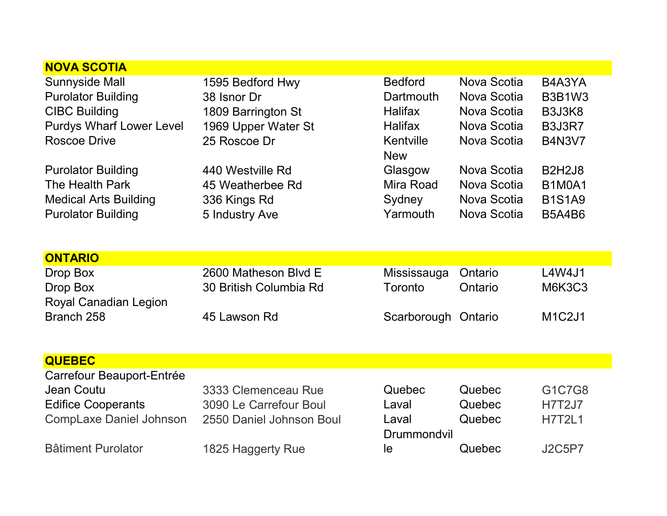| 1595 Bedford Hwy<br>38 Isnor Dr<br>1809 Barrington St<br>1969 Upper Water St<br>25 Roscoe Dr<br>440 Westville Rd<br>45 Weatherbee Rd<br>336 Kings Rd<br>5 Industry Ave | <b>Bedford</b><br><b>Dartmouth</b><br><b>Halifax</b><br><b>Halifax</b><br>Kentville<br><b>New</b><br>Glasgow<br>Mira Road<br>Sydney<br>Yarmouth | Nova Scotia<br>Nova Scotia<br>Nova Scotia<br>Nova Scotia<br>Nova Scotia<br>Nova Scotia<br>Nova Scotia<br>Nova Scotia<br>Nova Scotia | B4A3YA<br><b>B3B1W3</b><br>B3J3K8<br><b>B3J3R7</b><br><b>B4N3V7</b><br><b>B2H2J8</b><br><b>B1M0A1</b><br><b>B1S1A9</b><br><b>B5A4B6</b> |
|------------------------------------------------------------------------------------------------------------------------------------------------------------------------|-------------------------------------------------------------------------------------------------------------------------------------------------|-------------------------------------------------------------------------------------------------------------------------------------|-----------------------------------------------------------------------------------------------------------------------------------------|
|                                                                                                                                                                        |                                                                                                                                                 |                                                                                                                                     |                                                                                                                                         |
| 2600 Matheson Blvd E<br>30 British Columbia Rd                                                                                                                         | Mississauga<br>Toronto                                                                                                                          | Ontario<br>Ontario                                                                                                                  | L4W4J1<br><b>M6K3C3</b>                                                                                                                 |
| 45 Lawson Rd                                                                                                                                                           |                                                                                                                                                 |                                                                                                                                     | M1C2J1                                                                                                                                  |
|                                                                                                                                                                        |                                                                                                                                                 |                                                                                                                                     |                                                                                                                                         |
| 3333 Clemenceau Rue<br>3090 Le Carrefour Boul<br>2550 Daniel Johnson Boul                                                                                              | Quebec<br>Laval<br>Laval<br>Drummondvil                                                                                                         | Quebec<br>Quebec<br>Quebec                                                                                                          | G1C7G8<br><b>H7T2J7</b><br><b>H7T2L1</b>                                                                                                |
| 1825 Haggerty Rue                                                                                                                                                      | le                                                                                                                                              | Quebec                                                                                                                              | <b>J2C5P7</b>                                                                                                                           |
|                                                                                                                                                                        |                                                                                                                                                 |                                                                                                                                     | Scarborough Ontario                                                                                                                     |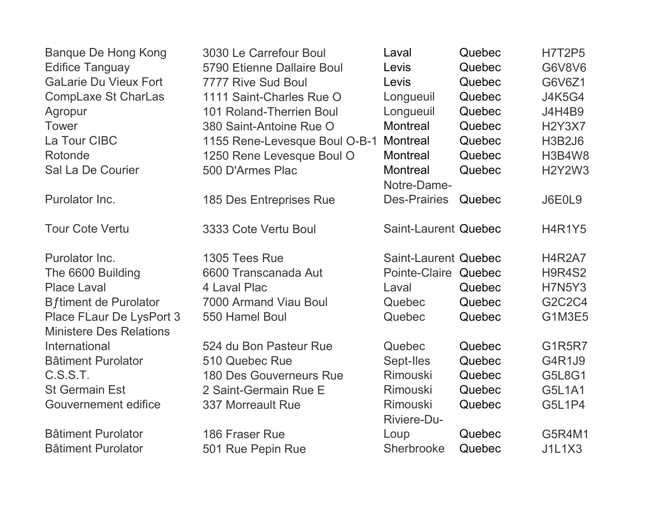| Banque De Hong Kong                                        | 3030 Le Carrefour Boul          | Laval                          | Quebec | <b>H7T2P5</b> |
|------------------------------------------------------------|---------------------------------|--------------------------------|--------|---------------|
| <b>Edifice Tanguay</b>                                     | 5790 Etienne Dallaire Boul      | Levis                          | Quebec | G6V8V6        |
| <b>GaLarie Du Vieux Fort</b>                               | 7777 Rive Sud Boul              | Levis                          | Quebec | G6V6Z1        |
| <b>CompLaxe St CharLas</b>                                 | 1111 Saint-Charles Rue O        | Longueuil                      | Quebec | <b>J4K5G4</b> |
| Agropur                                                    | <b>101 Roland-Therrien Boul</b> | Longueuil                      | Quebec | <b>J4H4B9</b> |
| <b>Tower</b>                                               | 380 Saint-Antoine Rue O         | Montreal                       | Quebec | <b>H2Y3X7</b> |
| La Tour CIBC                                               | 1155 Rene-Levesque Boul O-B-1   | Montreal                       | Quebec | <b>H3B2J6</b> |
| Rotonde                                                    | 1250 Rene Levesque Boul O       | <b>Montreal</b>                | Quebec | <b>H3B4W8</b> |
| Sal La De Courier                                          | 500 D'Armes Plac                | <b>Montreal</b><br>Notre-Dame- | Quebec | <b>H2Y2W3</b> |
| Purolator Inc.                                             | 185 Des Entreprises Rue         | <b>Des-Prairies</b>            | Quebec | J6E0L9        |
| <b>Tour Cote Vertu</b>                                     | 3333 Cote Vertu Boul            | Saint-Laurent Quebec           |        | <b>H4R1Y5</b> |
| Purolator Inc.                                             | 1305 Tees Rue                   | Saint-Laurent Quebec           |        | <b>H4R2A7</b> |
| The 6600 Building                                          | 6600 Transcanada Aut            | Pointe-Claire Quebec           |        | <b>H9R4S2</b> |
| <b>Place Laval</b>                                         | 4 Laval Plac                    | Laval                          | Quebec | <b>H7N5Y3</b> |
| <b>B</b> ftiment de Purolator                              | 7000 Armand Viau Boul           | Quebec                         | Quebec | G2C2C4        |
| Place FLaur De LysPort 3<br><b>Ministere Des Relations</b> | 550 Hamel Boul                  | Quebec                         | Quebec | <b>G1M3E5</b> |
| International                                              | 524 du Bon Pasteur Rue          | Quebec                         | Quebec | <b>G1R5R7</b> |
| <b>Bâtiment Purolator</b>                                  | 510 Quebec Rue                  | Sept-Iles                      | Quebec | G4R1J9        |
| C.S.S.T.                                                   | <b>180 Des Gouverneurs Rue</b>  | Rimouski                       | Quebec | G5L8G1        |
| <b>St Germain Est</b>                                      | 2 Saint-Germain Rue E           | <b>Rimouski</b>                | Quebec | <b>G5L1A1</b> |
| Gouvernement edifice                                       | <b>337 Morreault Rue</b>        | Rimouski<br><b>Riviere-Du-</b> | Quebec | <b>G5L1P4</b> |
| <b>Bâtiment Purolator</b>                                  | 186 Fraser Rue                  | Loup                           | Quebec | G5R4M1        |
| <b>Bâtiment Purolator</b>                                  | 501 Rue Pepin Rue               | Sherbrooke                     | Quebec | <b>J1L1X3</b> |